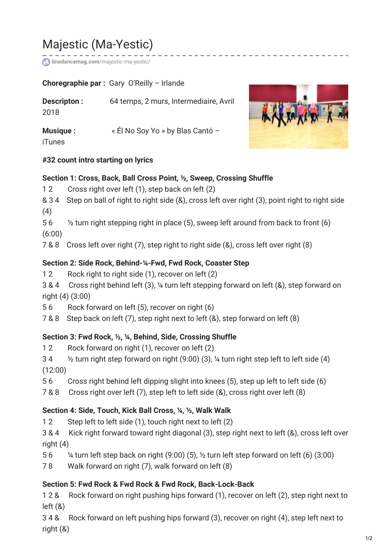# Majestic (Ma-Yestic)

**linedancemag.com**[/majestic-ma-yestic/](https://www.linedancemag.com/majestic-ma-yestic/)

#### **Choregraphie par :** Gary O'Reilly – Irlande

**Descripton :** 64 temps, 2 murs, Intermediaire, Avril

2018

**Musique :** « Él No Soy Yo » by Blas Cantó –

iTunes

#### **#32 count intro starting on lyrics**

#### **Section 1: Cross, Back, Ball Cross Point, ½, Sweep, Crossing Shuffle**

- 1 2 Cross right over left (1), step back on left (2)
- & 3 4 Step on ball of right to right side (&), cross left over right (3), point right to right side (4)
- 5 6 ½ turn right stepping right in place (5), sweep left around from back to front (6)

(6:00)

7 & 8 Cross left over right (7), step right to right side (&), cross left over right (8)

## **Section 2: Side Rock, Behind-¼-Fwd, Fwd Rock, Coaster Step**

- 1 2 Rock right to right side (1), recover on left (2)
- 3 & 4 Cross right behind left (3), ¼ turn left stepping forward on left (&), step forward on right (4) (3:00)
- 5 6 Rock forward on left (5), recover on right (6)

7 & 8 Step back on left (7), step right next to left (&), step forward on left (8)

## **Section 3: Fwd Rock, ½, ¼, Behind, Side, Crossing Shuffle**

- 1 2 Rock forward on right (1), recover on left (2)
- 3 4 ½ turn right step forward on right (9:00) (3), ¼ turn right step left to left side (4) (12:00)
- 5 6 Cross right behind left dipping slight into knees (5), step up left to left side (6)
- 7 & 8 Cross right over left (7), step left to left side (&), cross right over left (8)

## **Section 4: Side, Touch, Kick Ball Cross, ¼, ½, Walk Walk**

- 12 Step left to left side (1), touch right next to left (2)
- 3 & 4 Kick right forward toward right diagonal (3), step right next to left (&), cross left over right (4)
- 5 6  $\frac{1}{4}$  turn left step back on right (9:00) (5),  $\frac{1}{2}$  turn left step forward on left (6) (3:00)

7 8 Walk forward on right (7), walk forward on left (8)

## **Section 5: Fwd Rock & Fwd Rock & Fwd Rock, Back-Lock-Back**

1 2 & Rock forward on right pushing hips forward (1), recover on left (2), step right next to left (&)

3 4 & Rock forward on left pushing hips forward (3), recover on right (4), step left next to right (&)